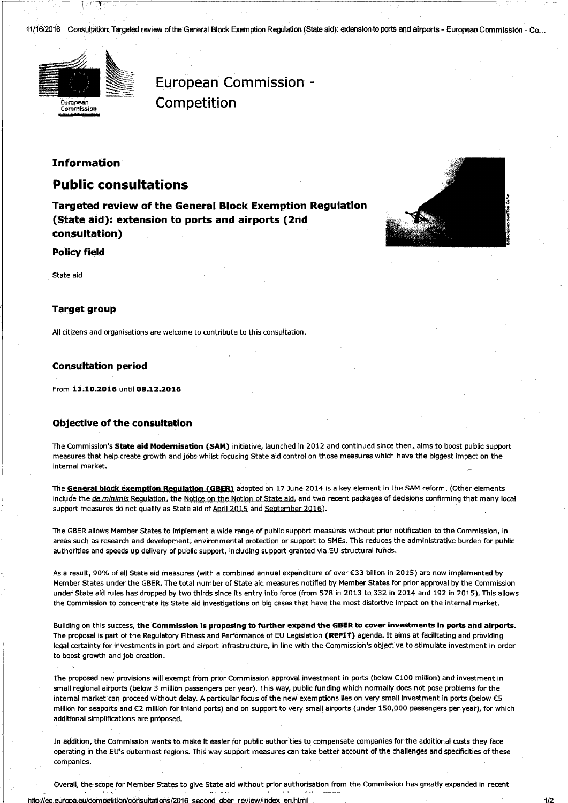11/16/2016 Consultation: Targeted review of the General Block Exemption Regulation (State aid): extension to ports and airports - European Commission - Co...



European Commission -Competition

# **Information**

# **Public consultations**

**Targeted review of the General Block Exemption Regulation** (State aid): extension to ports and airports (2nd consultation)

### **Policy field**

State aid

## **Target group**

All citizens and organisations are welcome to contribute to this consultation.

### **Consultation period**

From 13.10.2016 until 08.12.2016

## **Objective of the consultation**

The Commission's State aid Modernisation (SAM) initiative, launched in 2012 and continued since then, aims to boost public support measures that help create growth and jobs whilst focusing State aid control on those measures which have the biggest impact on the internal market.

The General block exemption Regulation (GBER) adopted on 17 June 2014 is a key element in the SAM reform. (Other elements include the de minimis Regulation, the Notice on the Notion of State aid, and two recent packages of decisions confirming that many local support measures do not qualify as State aid of April 2015 and September 2016).

The GBER allows Member States to implement a wide range of public support measures without prior notification to the Commission, in areas such as research and development, environmental protection or support to SMEs. This reduces the administrative burden for public authorities and speeds up delivery of public support, including support granted via EU structural funds.

As a result, 90% of all State aid measures (with a combined annual expenditure of over €33 billion in 2015) are now implemented by Member States under the GBER. The total number of State aid measures notified by Member States for prior approval by the Commission under State aid rules has dropped by two thirds since its entry into force (from 578 in 2013 to 332 in 2014 and 192 in 2015). This allows the Commission to concentrate its State aid investigations on big cases that have the most distortive impact on the internal market.

Building on this success, the Commission is proposing to further expand the GBER to cover investments in ports and airports. The proposal is part of the Regulatory Fitness and Performance of EU Legislation (REFIT) agenda. It aims at facilitating and providing legal certainty for investments in port and airport infrastructure, in line with the Commission's objective to stimulate investment in order to boost growth and job creation.

The proposed new provisions will exempt from prior Commission approval investment in ports (below €100 million) and investment in small regional airports (below 3 million passengers per year). This way, public funding which normally does not pose problems for the internal market can proceed without delay. A particular focus of the new exemptions lies on very small investment in ports (below €5 million for seaports and €2 million for inland ports) and on support to very small airports (under 150,000 passengers per year), for which additional simplifications are proposed.

In addition, the Commission wants to make it easier for public authorities to compensate companies for the additional costs they face operating in the EU's outermost regions. This way support measures can take better account of the challenges and specificities of these companies.

Overall, the scope for Member States to give State aid without prior authorisation from the Commission has greatly expanded in recent

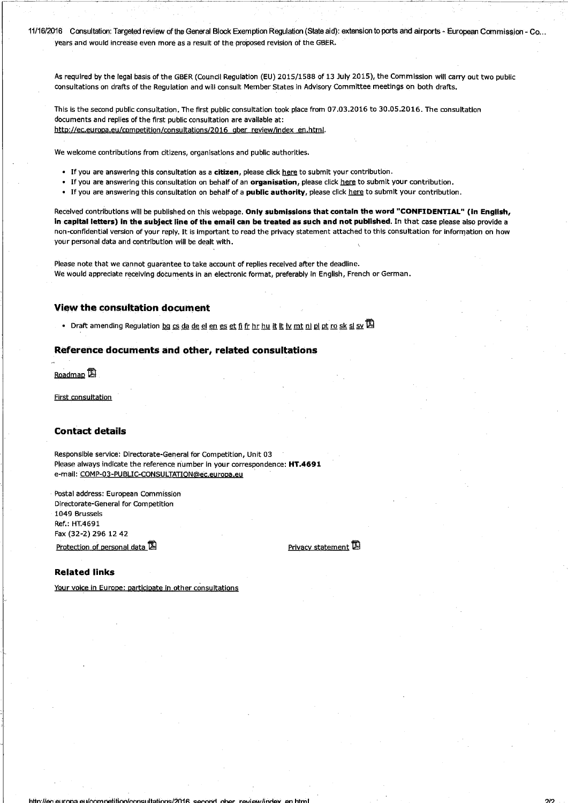11/16/2016 Consultation: Targeted review of the General Block Exemption Regulation (State aid): extension to ports and airports - European Commission - Co... years and would increase even more as a result of the proposed revision of the GBER.

As required by the legal basis of the GBER (Council Regulation (EU) 2015/1588 of 13 July 2015), the Commission will carry out two public consultations on drafts of the Regulation and will consult Member States in Advisory Committee meetings on both drafts.

This is the second public consultation. The first public consultation took place from 07.03.2016 to 30.05.2016. The consultation documents and replies of the first public consultation are available at: http://ec.europa.eu/competition/consultations/2016 gber review/index en.html.

We welcome contributions from citizens, organisations and public authorities.

- If you are answering this consultation as a citizen, please click here to submit your contribution.
- . If you are answering this consultation on behalf of an organisation, please click here to submit your contribution.
- . If you are answering this consultation on behalf of a public authority, please click here to submit your contribution.

Received contributions will be published on this webpage. Only submissions that contain the word "CONFIDENTIAL" (in English, in capital letters) in the subject line of the email can be treated as such and not published. In that case please also provide a non-confidential version of your reply. It is important to read the privacy statement attached to this consultation for information on how your personal data and contribution will be dealt with.

Please note that we cannot guarantee to take account of replies received after the deadline. We would appreciate receiving documents in an electronic format, preferably in English, French or German.

# **View the consultation document**

• Draft amending Regulation bg cs da de el en es et fi fr hr hu it it iv mt ni pi pt ro sk si sv  $\mathbb Z$ 

### Reference documents and other, related consultations

Roadmap<sup>12</sup>

First consultation

#### **Contact details**

Responsible service: Directorate-General for Competition, Unit 03 Please always indicate the reference number in your correspondence: HT.4691 e-mail: COMP-03-PUBLIC-CONSULTATION@ec.europa.eu

Postal address: European Commission Directorate-General for Competition 1049 Brussels Ref: HT4691 Fax (32-2) 296 12 42 Protection of personal data L

Privacy statement

## **Related links**

Your voice in Europe: participate in other consultations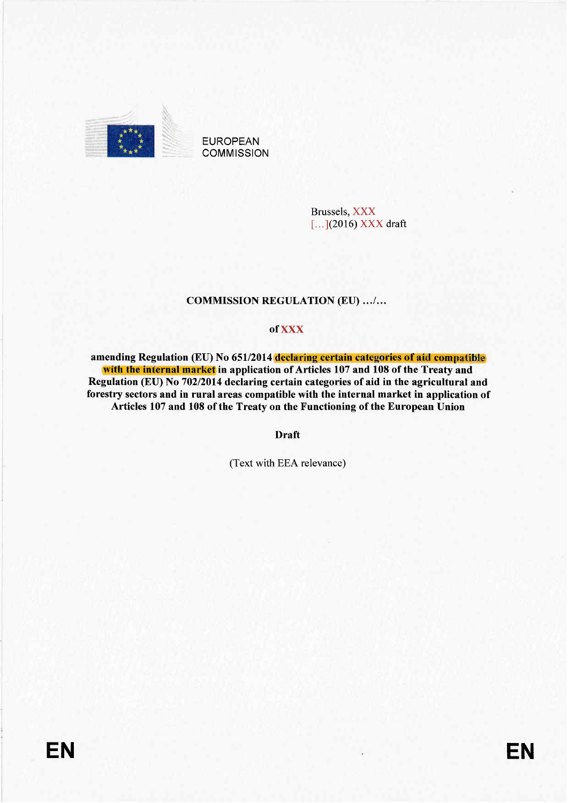

**EUROPEAN COMMISSION** 

> **Brussels**, XXX  $[...]$ (2016) XXX draft

# **COMMISSION REGULATION (EU) .../...**

# of XXX

amending Regulation (EU) No 651/2014 declaring certain categories of aid compatible with the internal market in application of Articles 107 and 108 of the Treaty and Regulation (EU) No 702/2014 declaring certain categories of aid in the agricultural and forestry sectors and in rural areas compatible with the internal market in application of Articles 107 and 108 of the Treaty on the Functioning of the European Union

**Draft** 

(Text with EEA relevance)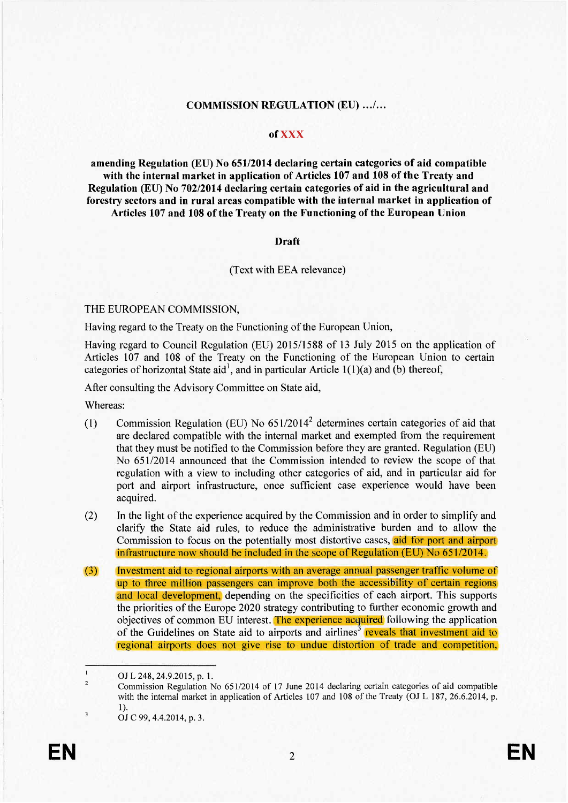# **COMMISSION REGULATION (EU) .../...**

# of XXX

amending Regulation (EU) No 651/2014 declaring certain categories of aid compatible with the internal market in application of Articles 107 and 108 of the Treaty and Regulation (EU) No 702/2014 declaring certain categories of aid in the agricultural and forestry sectors and in rural areas compatible with the internal market in application of Articles 107 and 108 of the Treaty on the Functioning of the European Union

# **Draft**

# (Text with EEA relevance)

# THE EUROPEAN COMMISSION,

Having regard to the Treaty on the Functioning of the European Union,

Having regard to Council Regulation (EU) 2015/1588 of 13 July 2015 on the application of Articles 107 and 108 of the Treaty on the Functioning of the European Union to certain categories of horizontal State aid<sup>1</sup>, and in particular Article  $1(1)(a)$  and (b) thereof,

After consulting the Advisory Committee on State aid,

Whereas:

- Commission Regulation (EU) No  $651/2014^2$  determines certain categories of aid that  $(1)$ are declared compatible with the internal market and exempted from the requirement that they must be notified to the Commission before they are granted. Regulation (EU) No 651/2014 announced that the Commission intended to review the scope of that regulation with a view to including other categories of aid, and in particular aid for port and airport infrastructure, once sufficient case experience would have been acquired.
- $(2)$ In the light of the experience acquired by the Commission and in order to simplify and clarify the State aid rules, to reduce the administrative burden and to allow the Commission to focus on the potentially most distortive cases, aid for port and airport infrastructure now should be included in the scope of Regulation  $(EU)$  No  $651/2014$ .
- Investment aid to regional airports with an average annual passenger traffic volume of  $(3)$ up to three million passengers can improve both the accessibility of certain regions and local development, depending on the specificities of each airport. This supports the priorities of the Europe 2020 strategy contributing to further economic growth and objectives of common EU interest. The experience acquired following the application of the Guidelines on State aid to airports and airlines<sup>3</sup> reveals that investment aid to regional airports does not give rise to undue distortion of trade and competition,

 $\overline{\mathbf{3}}$ 

 $\mathbf{1}$ OJ L 248, 24.9.2015, p. 1.  $\overline{c}$ 

Commission Regulation No 651/2014 of 17 June 2014 declaring certain categories of aid compatible with the internal market in application of Articles 107 and 108 of the Treaty (OJ L 187, 26.6.2014, p.  $\mathbf{D}$ 

OJ C 99, 4.4.2014, p. 3.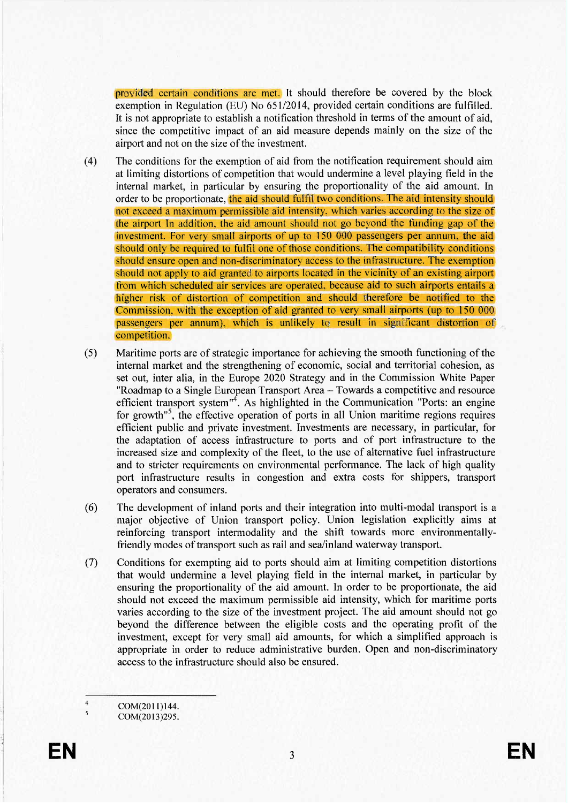provided certain conditions are met. It should therefore be covered by the block exemption in Regulation (EU) No 651/2014, provided certain conditions are fulfilled. It is not appropriate to establish a notification threshold in terms of the amount of aid, since the competitive impact of an aid measure depends mainly on the size of the airport and not on the size of the investment.

- $(4)$ The conditions for the exemption of aid from the notification requirement should aim at limiting distortions of competition that would undermine a level playing field in the internal market, in particular by ensuring the proportionality of the aid amount. In order to be proportionate, the aid should fulfil two conditions. The aid intensity should not exceed a maximum permissible aid intensity, which varies according to the size of the airport In addition, the aid amount should not go beyond the funding gap of the investment. For very small airports of up to 150 000 passengers per annum, the aid should only be required to fulfil one of those conditions. The compatibility conditions should ensure open and non-discriminatory access to the infrastructure. The exemption should not apply to aid granted to airports located in the vicinity of an existing airport from which scheduled air services are operated, because aid to such airports entails a higher risk of distortion of competition and should therefore be notified to the Commission, with the exception of aid granted to very small airports (up to 150 000 passengers per annum), which is unlikely to result in significant distortion of competition.
- Maritime ports are of strategic importance for achieving the smooth functioning of the  $(5)$ internal market and the strengthening of economic, social and territorial cohesion, as set out, inter alia, in the Europe 2020 Strategy and in the Commission White Paper "Roadmap to a Single European Transport Area - Towards a competitive and resource efficient transport system"<sup>4</sup>. As highlighted in the Communication "Ports: an engine for growth<sup>"5</sup>, the effective operation of ports in all Union maritime regions requires efficient public and private investment. Investments are necessary, in particular, for the adaptation of access infrastructure to ports and of port infrastructure to the increased size and complexity of the fleet, to the use of alternative fuel infrastructure and to stricter requirements on environmental performance. The lack of high quality port infrastructure results in congestion and extra costs for shippers, transport operators and consumers.
- $(6)$ The development of inland ports and their integration into multi-modal transport is a major objective of Union transport policy. Union legislation explicitly aims at reinforcing transport intermodality and the shift towards more environmentallyfriendly modes of transport such as rail and sea/inland waterway transport.
- $(7)$ Conditions for exempting aid to ports should aim at limiting competition distortions that would undermine a level playing field in the internal market, in particular by ensuring the proportionality of the aid amount. In order to be proportionate, the aid should not exceed the maximum permissible aid intensity, which for maritime ports varies according to the size of the investment project. The aid amount should not go beyond the difference between the eligible costs and the operating profit of the investment, except for very small aid amounts, for which a simplified approach is appropriate in order to reduce administrative burden. Open and non-discriminatory access to the infrastructure should also be ensured.

 $\overline{4}$ COM(2011)144.

COM(2013)295.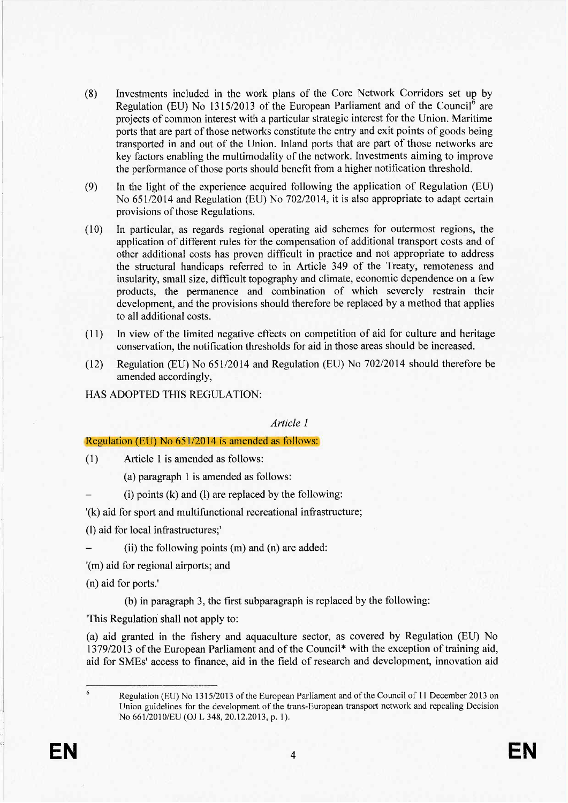- (8) Investments included in the work plans of the Core Network Corridors set up by Regulation (EU) No 1315/2013 of the European Parliament and of the Council<sup>6</sup> are projects of common interest with a particular strategic interest for the Union. Maritime ports that are part of those networks constitute the entry and exit points of goods being transported in and out of the Union. Inland ports that are part of those networks are key factors enabling the multimodality of the network. Investments aiming to improve the performance of those ports should benefit from a higher notification threshold.
- (9) In the light of the experience acquired following the application of Regulation (EU) No 651/2014 and Regulation (EU) No 702/2014, it is also appropriate to adapt certain provisions of those Regulations.
- (10) In particular, as regards regional operating aid schemes for outermost regions, the application of different rules for the compensation of additional transport costs and of other additional costs has proven difficult in practice and not appropriate to address the structural handicaps referred to in Article 349 of the Treaty, remoteness and insularity, small size, diffcult topography and climate, economic dependence on a few products, the permanence and combination of which severely restrain their development, and the provisions should therefore be replaced by a method that applies to all additional costs.
- (11) In view of the limited negative effects on competition of aid for culture and heritage conservation, the notification thresholds for aid in those areas should be increased.
- (12) Regulation (EU) No 651/2014 and Regulation (EU) No 702/2014 should therefore be amended accordingly,
- HAS ADOPTED THIS REGULATION:

Article 1

# Regulation (EU) No  $651/2014$  is amended as follows:

(1) Article 1 is amended as follows:

- (a) paragraph 1 is amended as follows:
- $(i)$  points  $(k)$  and  $(l)$  are replaced by the following:

'(k) aid for sport and multifunctional recreational infrastructure;

(1) aid for local infrastructures;'

(ii) the following points (m) and (n) are added:

'(m) aid for regional airports; and

(n) aid for ports.'

(b) in paragraph 3, the first subparagraph is replaced by the following:

'This Regulation shall not apply to:

(a) aid granted in the fishery and aquaculture sector, as covered by Regulation (EU) No 1379/2013 of the European Parliament and of the Counci1\* with the exception of training aid, aid for SMEs' access to finance, aid in the field of research and development, innovation aid

6

Regulation (EU) No 1315/2013 of the European Parliament and of the Council of 11 December 2013 on Union guidelines for the development of the trans-European transport network and repealing Decision No 661/2010/EU (OJ L 348, 20.12.2013, p. 1).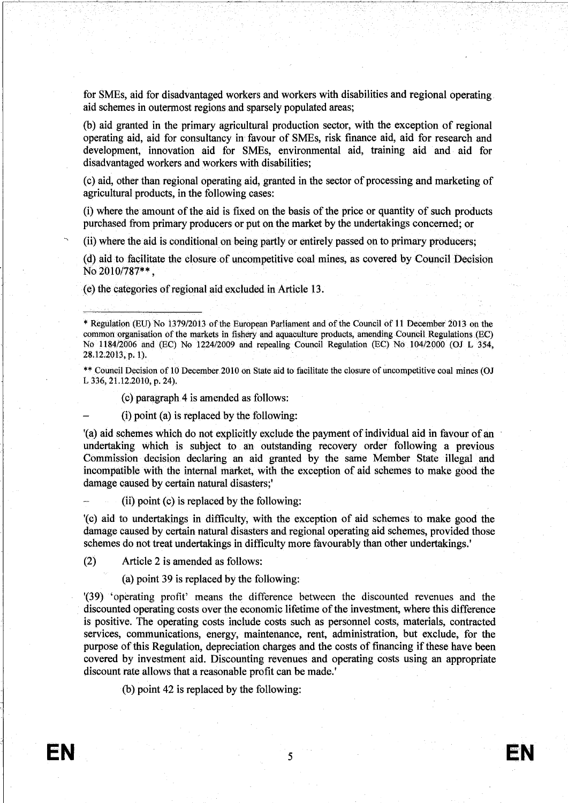for SMEs, aid for disadvantaged workers and workers with disabilties and regional operating aid schemes in outermost regions and sparsely populated areas;

(b) aid granted in the primary agricultural production sector, with the exception of regional operating aid, aid for consultancy in favour of SMEs, risk finance aid, aid for research and development, innovation aid for SMEs, environmental aid, training aid and aid for disadvantaged workers and workers with disabilties;

(c) aid, other than regional operating aid, granted in the sector of processing and marketing of agricultural products, in the following cases:

(i) where the amount of the. aid is fixed on the basis of the price or quantity of such products purchased from primary producers or put on the market by the undertakings concerned; or

(ii) where the aid is conditional on being partly or entirely passed on to primary producers;

(d) aid to facilitate the closure of uncompetitive coal mines, as covered by Council Decision No 2010/787\*\*.

(e) the categories of regional aid excluded in Article 13.

\*\*Council Decision of 10 December 2010 on State aid to faciltate the closure of uncompetitive coal mines (OJ L 336,21.2.2010, p. 24).

 $(c)$  paragraph 4 is amended as follows:

(i) point (a) is replaced by the following:

'(a) aid schemes which do not explicitly exclude the payment of individual aid in favour of an undertaking which is subject to. an outstanding recovery order. following a previous Commission decision declaring an aid granted by the same Member State. illegal and incompatible with the internal market, with the exception of aid schemes to make good the damage caused by certain natural disasters;'

(ii) point (c) is replaced by the following:

'(c) aid to undertakings in diffculty, with the exception of aid schemes to make good the damage caused by certain natural disasters and regional operating aid schemes, provided those schemes do not treat undertakings in diffculty more favourably than other undertakings.'

(2) Article 2 is amended as follows:

(a) point 39 is replaced by the following:

1(39) 'operating profit' means the difference between the discounted revenues and the discounted operating costs over the economic lifetime of the investment, where this difference is positive. The operating costs include costs such as personnel costs, materials, contracted services, communications, energy, maintenance, rent, administration, but exclude, for the purpose of this Regulation, depreciation charges and the costs of financing if these have been covered by investment aid. Discounting revenues and operating costs using an appropriate discount rate allows that a reasonable profit can be made.'

(b) point 42 is replaced by the following:

"'

<sup>\*</sup> Regulation (EU) No 1379/2013 of the European Parliament and of the Council of 11 December 2013 on the common organisation of the markets in fishery and aquaculture products, amending Council Regulations (EC) No  $1184/2006$  and (EC) No  $1224/2009$  and repealing Council Regulation (EC) No  $104/2000$  (OJ L 354, 28.12.2013, p. 1).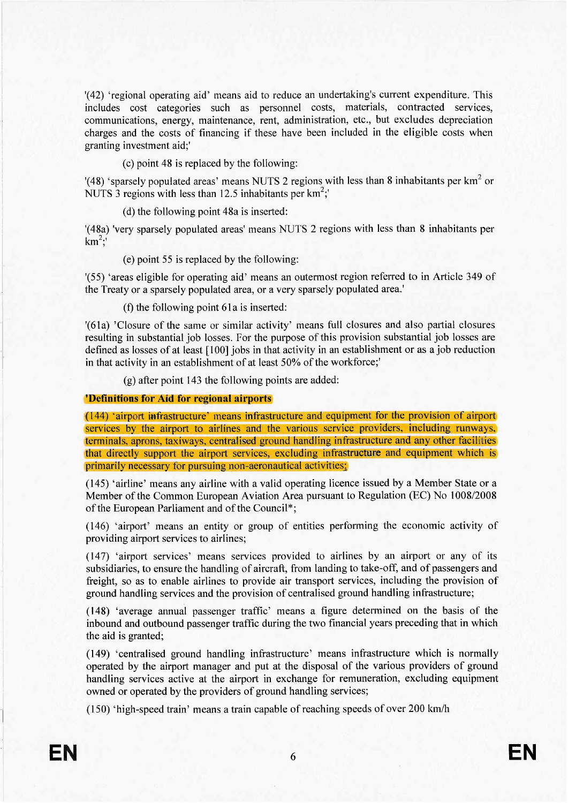'(42) 'regional operating aid' means aid to reduce an undertaking's current expenditure. This includes cost categories such as personnel costs, materials, contracted services, communications, energy, maintenance, rent, administration, etc., but excludes depreciation charges and the costs of financing if these have been included in the eligible costs when granting investment aid;'

(c) point 48 is replaced by the following:

'(48) 'sparsely populated areas' means NUTS 2 regions with less than 8 inhabitants per  $km^2$  or NUTS 3 regions with less than 12.5 inhabitants per  $km^2$ ;

(d) the following point 48a is inserted:

'(48a) 'very sparsely populated areas' means NUTS 2 regions with less than 8 inhabitants per  $km^2$ :

(e) point 55 is replaced by the following:

'(55) 'areas eligible for operating aid' means an outermost region referred to in Article 349 of the Treaty or a sparsely populated area, or a very sparsely populated area.'

(f) the following point 61a is inserted:

'(61a) 'Closure of the same or similar activity' means full closures and also partial closures resulting in substantial job losses. For the purpose of this provision substantial job losses are defined as losses of at least [100] jobs in that activity in an establishment or as a job reduction in that activity in an establishment of at least 50% of the workforce;

(g) after point 143 the following points are added:

# 'Definitions for Aid for regional airports

(144) 'airport infrastructure' means infrastructure and equipment for the provision of airport services by the airport to airlines and the various service providers, including runways, terminals, aprons, taxiways, centralised ground handling infrastructure and any other facilities that directly support the airport services, excluding infrastructure and equipment which is primarily necessary for pursuing non-aeronautical activities;

(145) 'airline' means any airline with a valid operating licence issued by a Member State or a Member of the Common European Aviation Area pursuant to Regulation (EC) No 1008/2008 of the European Parliament and of the Council\*;

(146) 'airport' means an entity or group of entities performing the economic activity of providing airport services to airlines;

(147) 'airport services' means services provided to airlines by an airport or any of its subsidiaries, to ensure the handling of aircraft, from landing to take-off, and of passengers and freight, so as to enable airlines to provide air transport services, including the provision of ground handling services and the provision of centralised ground handling infrastructure;

(148) 'average annual passenger traffic' means a figure determined on the basis of the inbound and outbound passenger traffic during the two financial years preceding that in which the aid is granted;

(149) 'centralised ground handling infrastructure' means infrastructure which is normally operated by the airport manager and put at the disposal of the various providers of ground handling services active at the airport in exchange for remuneration, excluding equipment owned or operated by the providers of ground handling services;

(150) 'high-speed train' means a train capable of reaching speeds of over 200 km/h